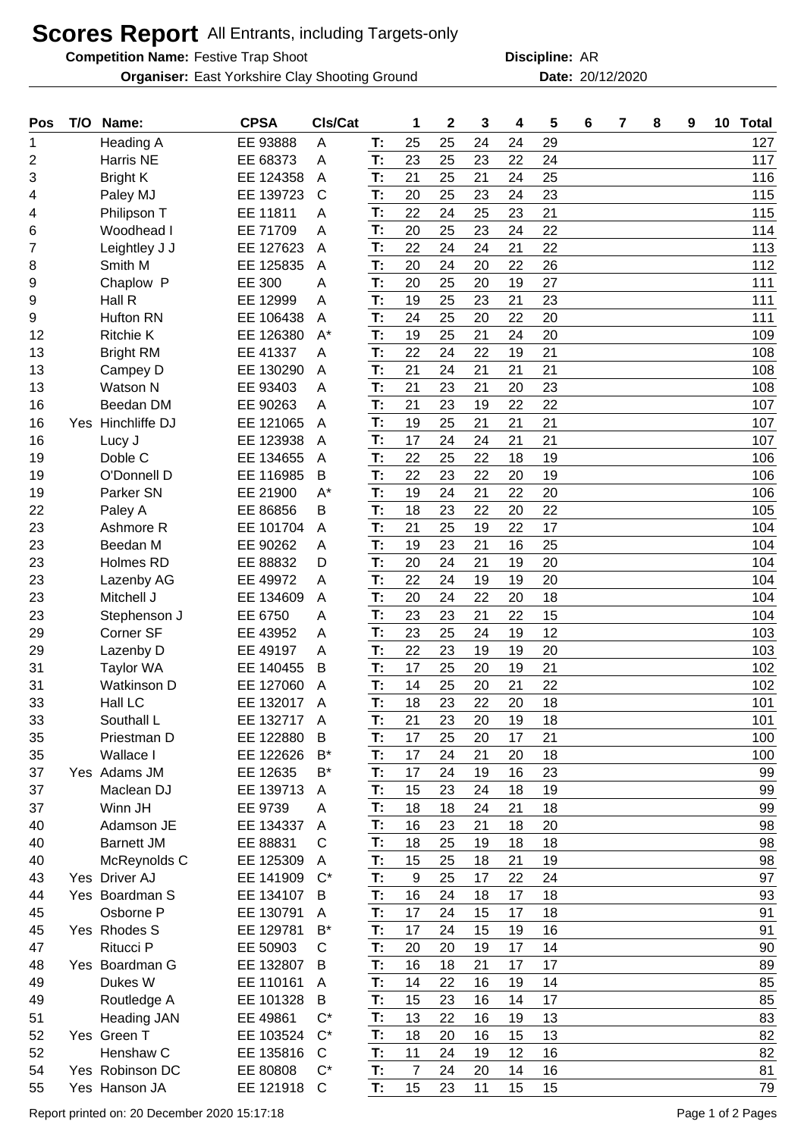## **Scores Report** All Entrants, including Targets-only

**Competition Name:** Festive Trap Shoot **ARIO 1888 12 12 13 13 14 14 15 16 17 17 18 18 18 19 19 19 19 19 19 19 19 1** 

**Organiser:** East Yorkshire Clay Shooting Ground **2001 Date: 20/12/2020** 

**Discipline:**

| Pos      | T/O | Name:                             | <b>CPSA</b>            | CIs/Cat      |          | 1              | $\mathbf 2$ | 3        | 4        | 5        | 6 | 7 | 8 | 9 | 10 Total |
|----------|-----|-----------------------------------|------------------------|--------------|----------|----------------|-------------|----------|----------|----------|---|---|---|---|----------|
| 1        |     | Heading A                         | EE 93888               | A            | T:       | 25             | 25          | 24       | 24       | 29       |   |   |   |   | 127      |
| 2        |     | Harris NE                         | EE 68373               | Α            | T:       | 23             | 25          | 23       | 22       | 24       |   |   |   |   | 117      |
| 3        |     | <b>Bright K</b>                   | EE 124358              | Α            | T:       | 21             | 25          | 21       | 24       | 25       |   |   |   |   | 116      |
| 4        |     | Paley MJ                          | EE 139723              | $\mathsf{C}$ | T:       | 20             | 25          | 23       | 24       | 23       |   |   |   |   | 115      |
| 4        |     | Philipson T                       | EE 11811               | Α            | T:       | 22             | 24          | 25       | 23       | 21       |   |   |   |   | 115      |
| 6        |     | Woodhead I                        | EE 71709               | Α            | T:       | 20             | 25          | 23       | 24       | 22       |   |   |   |   | 114      |
| 7        |     | Leightley J J                     | EE 127623              | Α            | T:       | 22             | 24          | 24       | 21       | 22       |   |   |   |   | 113      |
| 8        |     | Smith M                           | EE 125835              | A            | T:       | 20             | 24          | 20       | 22       | 26       |   |   |   |   | 112      |
| 9        |     | Chaplow P                         | EE 300                 | Α            | T:       | 20             | 25          | 20       | 19       | 27       |   |   |   |   | 111      |
| 9        |     | Hall R                            | EE 12999               | A            | T:       | 19             | 25          | 23       | 21       | 23       |   |   |   |   | 111      |
| 9        |     | <b>Hufton RN</b>                  | EE 106438              | Α            | T:       | 24             | 25          | 20       | 22       | 20       |   |   |   |   | 111      |
| 12       |     | <b>Ritchie K</b>                  | EE 126380              | $A^*$        | T:       | 19             | 25          | 21       | 24       | 20       |   |   |   |   | 109      |
| 13       |     | <b>Bright RM</b>                  | EE 41337               | Α            | T:       | 22             | 24          | 22       | 19       | 21       |   |   |   |   | 108      |
| 13       |     | Campey D                          | EE 130290              | A            | T:       | 21             | 24          | 21       | 21       | 21       |   |   |   |   | 108      |
| 13       |     | <b>Watson N</b>                   | EE 93403               | Α            | T:       | 21             | 23          | 21       | 20       | 23       |   |   |   |   | 108      |
| 16       |     | Beedan DM                         | EE 90263               | Α            | T:       | 21             | 23          | 19       | 22       | 22       |   |   |   |   | 107      |
| 16       |     | Yes Hinchliffe DJ                 | EE 121065              | Α            | T:       | 19             | 25          | 21       | 21       | 21       |   |   |   |   | 107      |
| 16       |     | Lucy J                            | EE 123938              | A            | T:       | 17             | 24          | 24       | 21       | 21       |   |   |   |   | 107      |
| 19       |     | Doble C                           | EE 134655              | Α            | T:       | 22             | 25          | 22       | 18       | 19       |   |   |   |   | 106      |
| 19       |     | O'Donnell D                       | EE 116985              | B            | T:       | 22             | 23          | 22       | 20       | 19       |   |   |   |   | 106      |
| 19       |     | Parker SN                         | EE 21900               | $A^*$        | T:       | 19             | 24          | 21       | 22       | 20       |   |   |   |   | 106      |
| 22       |     | Paley A                           | EE 86856               | B            | T:       | 18             | 23          | 22       | 20       | 22       |   |   |   |   | 105      |
| 23       |     | Ashmore R                         | EE 101704              | A            | T:       | 21             | 25          | 19       | 22       | 17       |   |   |   |   | 104      |
| 23       |     | Beedan M                          | EE 90262               | Α            | T:       | 19             | 23          | 21       | 16       | 25       |   |   |   |   | 104      |
| 23       |     | Holmes RD                         | EE 88832               | D            | T:       | 20             | 24          | 21       | 19       | 20       |   |   |   |   | 104      |
| 23       |     | Lazenby AG                        | EE 49972               | Α            | T:       | 22             | 24          | 19       | 19       | 20       |   |   |   |   | 104      |
| 23       |     | Mitchell J                        | EE 134609              | A            | T:       | 20             | 24          | 22       | 20       | 18       |   |   |   |   | 104      |
| 23       |     | Stephenson J                      | EE 6750                | Α            | T:       | 23             | 23          | 21       | 22       | 15       |   |   |   |   | 104      |
| 29       |     | Corner SF                         | EE 43952               | A            | T:       | 23             | 25          | 24       | 19       | 12       |   |   |   |   | 103      |
| 29       |     | Lazenby D                         | EE 49197               | A            | T:       | 22             | 23          | 19       | 19       | 20       |   |   |   |   | 103      |
| 31       |     | <b>Taylor WA</b>                  | EE 140455              | B            | T:       | 17             | 25          | 20       | 19       | 21       |   |   |   |   | 102      |
| 31       |     | <b>Watkinson D</b>                | EE 127060              | Α            | T:       | 14             | 25          | 20       | 21       | 22       |   |   |   |   | 102      |
| 33       |     | Hall LC                           | EE 132017              | Α            | T:       | 18             | 23          | 22       | 20       | 18       |   |   |   |   | 101      |
| 33       |     | Southall L                        | EE 132717              | A            | Т:       | 21             | 23          | 20       | 19       | 18       |   |   |   |   | 101      |
| 35       |     | Priestman D                       | EE 122880              | B            | T:       | 17             | 25          | 20       | 17       | 21       |   |   |   |   | 100      |
| 35       |     | Wallace I                         | EE 122626              | $B^*$        | T:       | 17             | 24          | 21       | 20       | 18       |   |   |   |   | 100      |
| 37       |     | Yes Adams JM                      | EE 12635               | B*           | T:       | 17             | 24          | 19       | 16       | 23       |   |   |   |   | 99       |
| 37       |     | Maclean DJ                        | EE 139713              | A            | T:       | 15             | 23          | 24       | 18       | 19       |   |   |   |   | 99       |
| 37       |     | Winn JH                           | EE 9739                | A            | T:       | 18             | 18          | 24       | 21       | 18       |   |   |   |   | 99       |
| 40       |     | Adamson JE                        | EE 134337              | A            | Т:       | 16             | 23<br>25    | 21<br>19 | 18       | 20       |   |   |   |   | 98       |
| 40       |     | <b>Barnett JM</b>                 | EE 88831               | С            | T:       | 18             |             |          | 18       | 18       |   |   |   |   | 98       |
| 40       |     | McReynolds C<br>Yes Driver AJ     | EE 125309<br>EE 141909 | A<br>$C^*$   | T:       | 15<br>9        | 25          | 18       | 21<br>22 | 19<br>24 |   |   |   |   | 98<br>97 |
| 43       |     |                                   |                        |              | T:       |                | 25          | 17       |          |          |   |   |   |   |          |
| 44       |     | Yes Boardman S                    | EE 134107              | B            | T:       | 16             | 24          | 18       | 17       | 18       |   |   |   |   | 93       |
| 45       |     | Osborne P                         | EE 130791              | A            | T:       | 17             | 24          | 15       | 17       | 18       |   |   |   |   | 91       |
| 45       |     | Yes Rhodes S<br>Ritucci P         | EE 129781              | B*           | T:<br>T: | 17             | 24          | 15       | 19       | 16       |   |   |   |   | 91       |
| 47       |     | Yes Boardman G                    | EE 50903<br>EE 132807  | C<br>B       | T:       | 20<br>16       | 20<br>18    | 19<br>21 | 17<br>17 | 14<br>17 |   |   |   |   | 90<br>89 |
| 48<br>49 |     | Dukes W                           | EE 110161              | A            | T:       | 14             | 22          | 16       | 19       | 14       |   |   |   |   | 85       |
|          |     |                                   | EE 101328              | B            | T:       | 15             | 23          | 16       | 14       | 17       |   |   |   |   | 85       |
| 49<br>51 |     | Routledge A<br><b>Heading JAN</b> | EE 49861               | $C^*$        | T:       | 13             | 22          | 16       | 19       | 13       |   |   |   |   | 83       |
| 52       |     | Yes Green T                       | EE 103524              | $C^*$        | T:       | 18             | 20          | 16       | 15       | 13       |   |   |   |   | 82       |
| 52       |     | Henshaw C                         | EE 135816              | C            | T:       | 11             | 24          | 19       | 12       | 16       |   |   |   |   | 82       |
| 54       |     | Yes Robinson DC                   | EE 80808               | $C^*$        | T:       | $\overline{7}$ | 24          | 20       | 14       | 16       |   |   |   |   | 81       |
| 55       |     | Yes Hanson JA                     | EE 121918              | C            | T:       | 15             | 23          | 11       | 15       | 15       |   |   |   |   | 79       |
|          |     |                                   |                        |              |          |                |             |          |          |          |   |   |   |   |          |